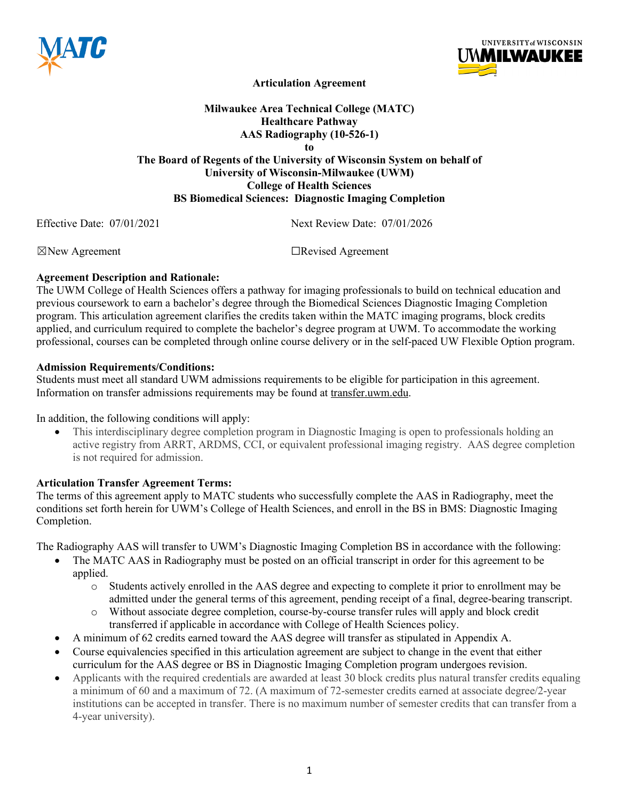



**Articulation Agreement**

# **Milwaukee Area Technical College (MATC) Healthcare Pathway AAS Radiography (10-526-1) to The Board of Regents of the University of Wisconsin System on behalf of University of Wisconsin-Milwaukee (UWM) College of Health Sciences BS Biomedical Sciences: Diagnostic Imaging Completion**

Effective Date: 07/01/2021 Next Review Date: 07/01/2026

☒New Agreement ☐Revised Agreement

## **Agreement Description and Rationale:**

The UWM College of Health Sciences offers a pathway for imaging professionals to build on technical education and previous coursework to earn a bachelor's degree through the Biomedical Sciences Diagnostic Imaging Completion program. This articulation agreement clarifies the credits taken within the MATC imaging programs, block credits applied, and curriculum required to complete the bachelor's degree program at UWM. To accommodate the working professional, courses can be completed through online course delivery or in the self-paced UW Flexible Option program.

## **Admission Requirements/Conditions:**

Students must meet all standard UWM admissions requirements to be eligible for participation in this agreement. Information on transfer admissions requirements may be found at transfer.uwm.edu.

In addition, the following conditions will apply:

• This interdisciplinary degree completion program in Diagnostic Imaging is open to professionals holding an active registry from ARRT, ARDMS, CCI, or equivalent professional imaging registry. AAS degree completion is not required for admission.

# **Articulation Transfer Agreement Terms:**

The terms of this agreement apply to MATC students who successfully complete the AAS in Radiography, meet the conditions set forth herein for UWM's College of Health Sciences, and enroll in the BS in BMS: Diagnostic Imaging Completion.

The Radiography AAS will transfer to UWM's Diagnostic Imaging Completion BS in accordance with the following:

- The MATC AAS in Radiography must be posted on an official transcript in order for this agreement to be applied.
	- o Students actively enrolled in the AAS degree and expecting to complete it prior to enrollment may be admitted under the general terms of this agreement, pending receipt of a final, degree-bearing transcript.
	- o Without associate degree completion, course-by-course transfer rules will apply and block credit transferred if applicable in accordance with College of Health Sciences policy.
- A minimum of 62 credits earned toward the AAS degree will transfer as stipulated in Appendix A.
- Course equivalencies specified in this articulation agreement are subject to change in the event that either curriculum for the AAS degree or BS in Diagnostic Imaging Completion program undergoes revision.
- Applicants with the required credentials are awarded at least 30 block credits plus natural transfer credits equaling a minimum of 60 and a maximum of 72. (A maximum of 72-semester credits earned at associate degree/2-year institutions can be accepted in transfer. There is no maximum number of semester credits that can transfer from a 4-year university).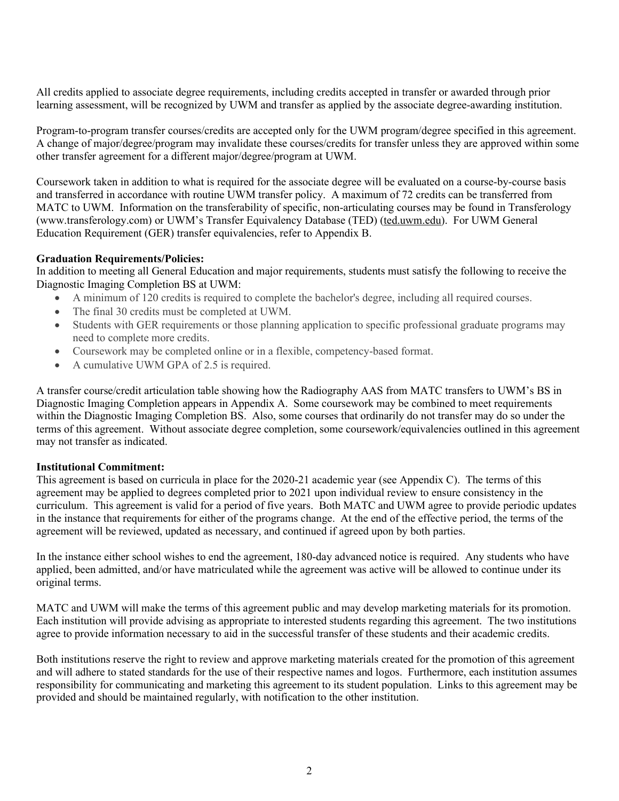All credits applied to associate degree requirements, including credits accepted in transfer or awarded through prior learning assessment, will be recognized by UWM and transfer as applied by the associate degree-awarding institution.

Program-to-program transfer courses/credits are accepted only for the UWM program/degree specified in this agreement. A change of major/degree/program may invalidate these courses/credits for transfer unless they are approved within some other transfer agreement for a different major/degree/program at UWM.

Coursework taken in addition to what is required for the associate degree will be evaluated on a course-by-course basis and transferred in accordance with routine UWM transfer policy. A maximum of 72 credits can be transferred from MATC to UWM. Information on the transferability of specific, non-articulating courses may be found in Transferology (www.transferology.com) or UWM's Transfer Equivalency Database (TED) (ted.uwm.edu). For UWM General Education Requirement (GER) transfer equivalencies, refer to Appendix B.

## **Graduation Requirements/Policies:**

In addition to meeting all General Education and major requirements, students must satisfy the following to receive the Diagnostic Imaging Completion BS at UWM:

- A minimum of 120 credits is required to complete the bachelor's degree, including all required courses.
- The final 30 credits must be completed at UWM.
- Students with GER requirements or those planning application to specific professional graduate programs may need to complete more credits.
- Coursework may be completed online or in a flexible, competency-based format.
- A cumulative UWM GPA of 2.5 is required.

A transfer course/credit articulation table showing how the Radiography AAS from MATC transfers to UWM's BS in Diagnostic Imaging Completion appears in Appendix A. Some coursework may be combined to meet requirements within the Diagnostic Imaging Completion BS. Also, some courses that ordinarily do not transfer may do so under the terms of this agreement. Without associate degree completion, some coursework/equivalencies outlined in this agreement may not transfer as indicated.

### **Institutional Commitment:**

This agreement is based on curricula in place for the 2020-21 academic year (see Appendix C). The terms of this agreement may be applied to degrees completed prior to 2021 upon individual review to ensure consistency in the curriculum. This agreement is valid for a period of five years. Both MATC and UWM agree to provide periodic updates in the instance that requirements for either of the programs change. At the end of the effective period, the terms of the agreement will be reviewed, updated as necessary, and continued if agreed upon by both parties.

In the instance either school wishes to end the agreement, 180-day advanced notice is required. Any students who have applied, been admitted, and/or have matriculated while the agreement was active will be allowed to continue under its original terms.

MATC and UWM will make the terms of this agreement public and may develop marketing materials for its promotion. Each institution will provide advising as appropriate to interested students regarding this agreement. The two institutions agree to provide information necessary to aid in the successful transfer of these students and their academic credits.

Both institutions reserve the right to review and approve marketing materials created for the promotion of this agreement and will adhere to stated standards for the use of their respective names and logos. Furthermore, each institution assumes responsibility for communicating and marketing this agreement to its student population. Links to this agreement may be provided and should be maintained regularly, with notification to the other institution.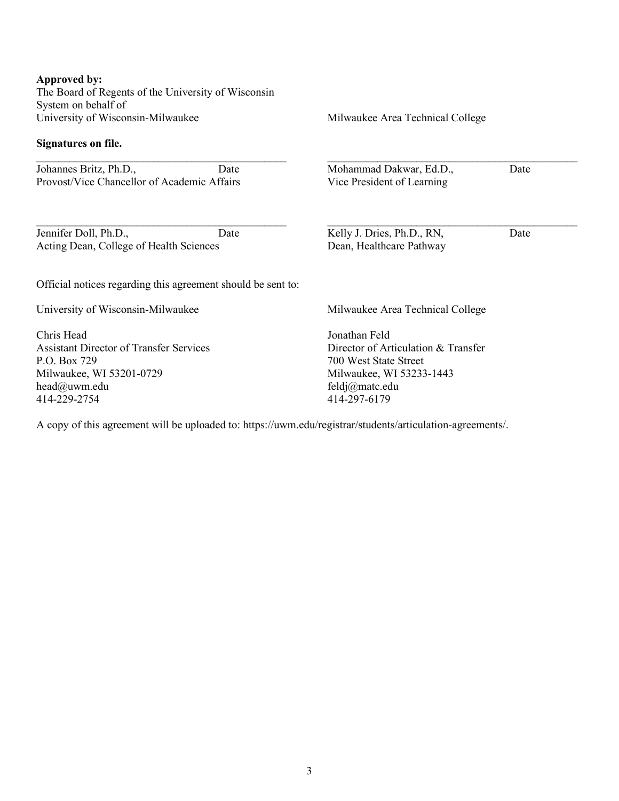### **Approved by:**

The Board of Regents of the University of Wisconsin System on behalf of University of Wisconsin-Milwaukee

\_\_\_\_\_\_\_\_\_\_\_\_\_\_\_\_\_\_\_\_\_\_\_\_\_\_\_\_\_\_\_\_\_\_\_\_\_\_\_\_\_\_\_\_\_

 $\mathcal{L}_\text{max}$  , and the contract of the contract of the contract of the contract of the contract of the contract of the contract of the contract of the contract of the contract of the contract of the contract of the contr

### **Signatures on file.**

Johannes Britz, Ph.D., Date Provost/Vice Chancellor of Academic Affairs

Jennifer Doll, Ph.D., Date Acting Dean, College of Health Sciences

Official notices regarding this agreement should be sent to:

University of Wisconsin-Milwaukee

Chris Head Assistant Director of Transfer Services P.O. Box 729 Milwaukee, WI 53201-0729 head@uwm.edu 414-229-2754

Milwaukee Area Technical College

\_\_\_\_\_\_\_\_\_\_\_\_\_\_\_\_\_\_\_\_\_\_\_\_\_\_\_\_\_\_\_\_\_\_\_\_\_\_\_\_\_\_\_\_\_

Mohammad Dakwar, Ed.D., Date Vice President of Learning

Kelly J. Dries, Ph.D., RN, Date Dean, Healthcare Pathway

 $\mathcal{L}_\text{max}$  , and the contract of the contract of the contract of the contract of the contract of the contract of the contract of the contract of the contract of the contract of the contract of the contract of the contr

Milwaukee Area Technical College

Jonathan Feld Director of Articulation & Transfer 700 West State Street Milwaukee, WI 53233-1443 feldj@matc.edu 414-297-6179

A copy of this agreement will be uploaded to: https://uwm.edu/registrar/students/articulation-agreements/.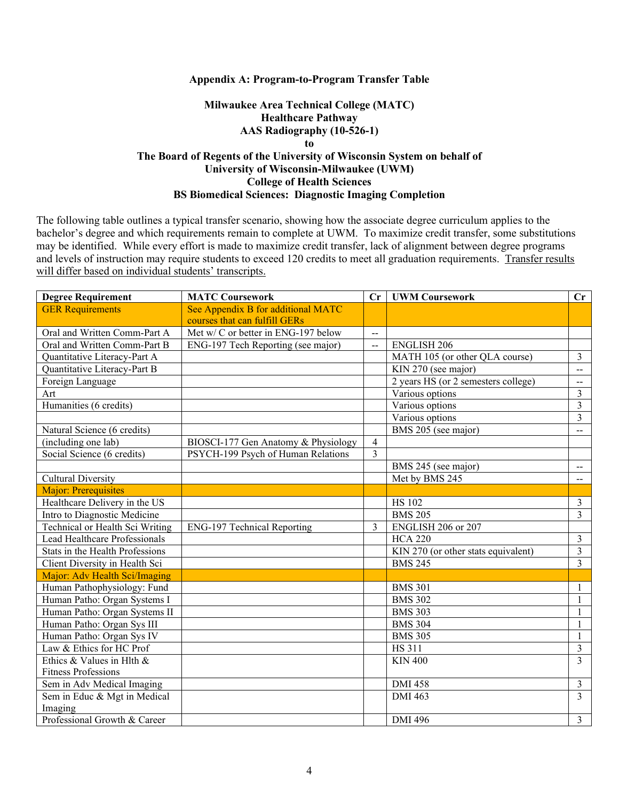### **Appendix A: Program-to-Program Transfer Table**

### **Milwaukee Area Technical College (MATC) Healthcare Pathway AAS Radiography (10-526-1) to The Board of Regents of the University of Wisconsin System on behalf of University of Wisconsin-Milwaukee (UWM) College of Health Sciences BS Biomedical Sciences: Diagnostic Imaging Completion**

The following table outlines a typical transfer scenario, showing how the associate degree curriculum applies to the bachelor's degree and which requirements remain to complete at UWM. To maximize credit transfer, some substitutions may be identified. While every effort is made to maximize credit transfer, lack of alignment between degree programs and levels of instruction may require students to exceed 120 credits to meet all graduation requirements. Transfer results will differ based on individual students' transcripts.

| <b>Degree Requirement</b>       | <b>MATC Coursework</b>              | Cr                       | <b>UWM Coursework</b>               | Cr                                            |
|---------------------------------|-------------------------------------|--------------------------|-------------------------------------|-----------------------------------------------|
| <b>GER Requirements</b>         | See Appendix B for additional MATC  |                          |                                     |                                               |
|                                 | courses that can fulfill GERs       |                          |                                     |                                               |
| Oral and Written Comm-Part A    | Met w/ C or better in ENG-197 below | $\overline{\phantom{a}}$ |                                     |                                               |
| Oral and Written Comm-Part B    | ENG-197 Tech Reporting (see major)  | $\mathbf{u}$             | <b>ENGLISH 206</b>                  |                                               |
| Quantitative Literacy-Part A    |                                     |                          | MATH 105 (or other QLA course)      | 3                                             |
| Quantitative Literacy-Part B    |                                     |                          | KIN 270 (see major)                 | $-$                                           |
| Foreign Language                |                                     |                          | 2 years HS (or 2 semesters college) | $-$                                           |
| Art                             |                                     |                          | Various options                     | $\overline{3}$                                |
| Humanities (6 credits)          |                                     |                          | Various options                     | 3                                             |
|                                 |                                     |                          | Various options                     | 3                                             |
| Natural Science (6 credits)     |                                     |                          | BMS 205 (see major)                 | $\mathord{\hspace{1pt}\text{--}\hspace{1pt}}$ |
| (including one lab)             | BIOSCI-177 Gen Anatomy & Physiology | $\overline{4}$           |                                     |                                               |
| Social Science (6 credits)      | PSYCH-199 Psych of Human Relations  | $\mathcal{E}$            |                                     |                                               |
|                                 |                                     |                          | BMS 245 (see major)                 | $\mathord{\hspace{1pt}\text{--}\hspace{1pt}}$ |
| <b>Cultural Diversity</b>       |                                     |                          | Met by BMS 245                      | $\overline{a}$                                |
| <b>Major: Prerequisites</b>     |                                     |                          |                                     |                                               |
| Healthcare Delivery in the US   |                                     |                          | <b>HS 102</b>                       | 3                                             |
| Intro to Diagnostic Medicine    |                                     |                          | <b>BMS 205</b>                      | $\overline{3}$                                |
| Technical or Health Sci Writing | <b>ENG-197 Technical Reporting</b>  | $\overline{3}$           | ENGLISH 206 or 207                  |                                               |
| Lead Healthcare Professionals   |                                     |                          | <b>HCA 220</b>                      | $\overline{3}$                                |
| Stats in the Health Professions |                                     |                          | KIN 270 (or other stats equivalent) | $\overline{3}$                                |
| Client Diversity in Health Sci  |                                     |                          | <b>BMS 245</b>                      | 3                                             |
| Major: Adv Health Sci/Imaging   |                                     |                          |                                     |                                               |
| Human Pathophysiology: Fund     |                                     |                          | <b>BMS 301</b>                      | 1                                             |
| Human Patho: Organ Systems I    |                                     |                          | <b>BMS 302</b>                      | $\mathbf{1}$                                  |
| Human Patho: Organ Systems II   |                                     |                          | <b>BMS 303</b>                      | 1                                             |
| Human Patho: Organ Sys III      |                                     |                          | <b>BMS 304</b>                      | 1                                             |
| Human Patho: Organ Sys IV       |                                     |                          | <b>BMS 305</b>                      | 1                                             |
| Law & Ethics for HC Prof        |                                     |                          | HS 311                              | 3                                             |
| Ethics & Values in Hlth $\&$    |                                     |                          | <b>KIN 400</b>                      | $\overline{3}$                                |
| <b>Fitness Professions</b>      |                                     |                          |                                     |                                               |
| Sem in Adv Medical Imaging      |                                     |                          | <b>DMI 458</b>                      | $\mathfrak{Z}$                                |
| Sem in Educ & Mgt in Medical    |                                     |                          | <b>DMI 463</b>                      | 3                                             |
| Imaging                         |                                     |                          |                                     |                                               |
| Professional Growth & Career    |                                     |                          | <b>DMI 496</b>                      | $\overline{3}$                                |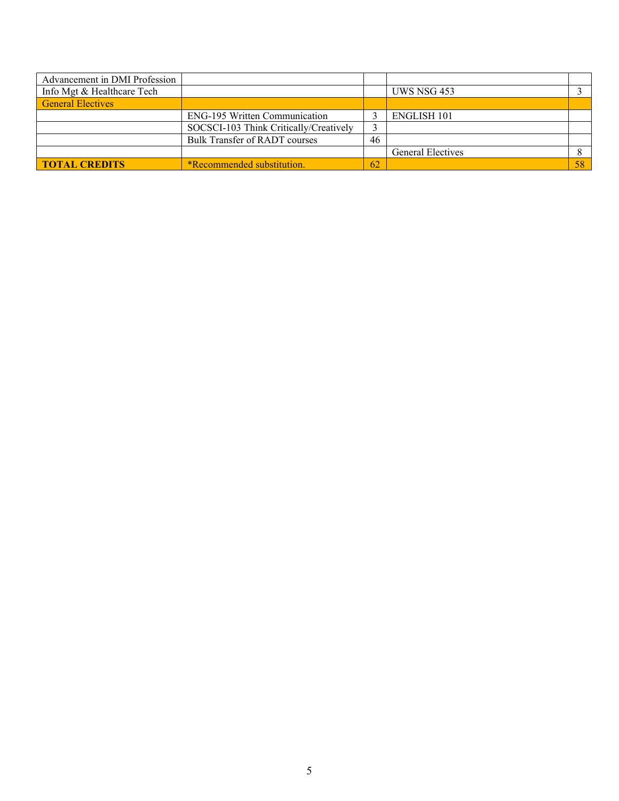| Advancement in DMI Profession |                                        |    |                          |    |
|-------------------------------|----------------------------------------|----|--------------------------|----|
| Info Mgt & Healthcare Tech    |                                        |    | UWS NSG 453              |    |
| <b>General Electives</b>      |                                        |    |                          |    |
|                               | <b>ENG-195 Written Communication</b>   |    | <b>ENGLISH 101</b>       |    |
|                               | SOCSCI-103 Think Critically/Creatively |    |                          |    |
|                               | Bulk Transfer of RADT courses          | 46 |                          |    |
|                               |                                        |    | <b>General Electives</b> |    |
| <b>TOTAL CREDITS</b>          | *Recommended substitution.             | 62 |                          | 58 |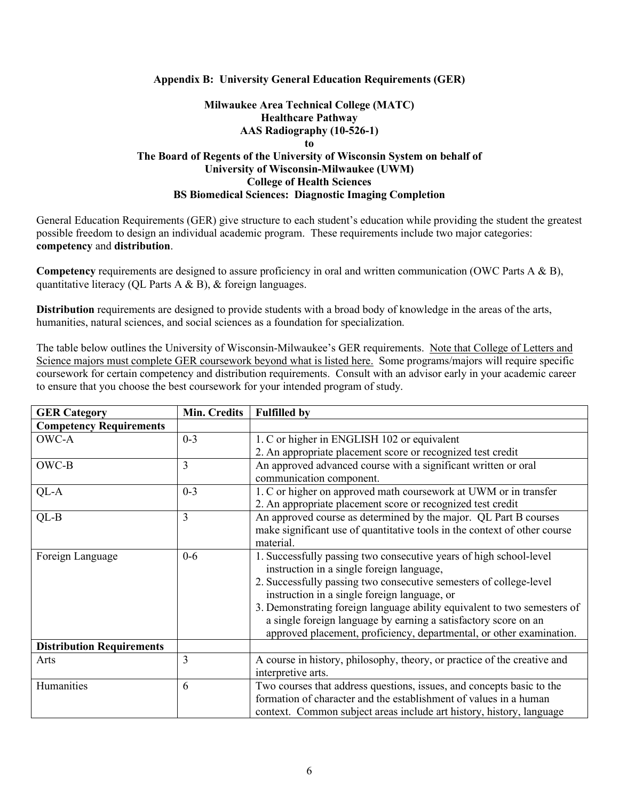### **Appendix B: University General Education Requirements (GER)**

## **Milwaukee Area Technical College (MATC) Healthcare Pathway AAS Radiography (10-526-1) to The Board of Regents of the University of Wisconsin System on behalf of University of Wisconsin-Milwaukee (UWM) College of Health Sciences BS Biomedical Sciences: Diagnostic Imaging Completion**

General Education Requirements (GER) give structure to each student's education while providing the student the greatest possible freedom to design an individual academic program. These requirements include two major categories: **competency** and **distribution**.

**Competency** requirements are designed to assure proficiency in oral and written communication (OWC Parts A & B), quantitative literacy (QL Parts A & B), & foreign languages.

**Distribution** requirements are designed to provide students with a broad body of knowledge in the areas of the arts, humanities, natural sciences, and social sciences as a foundation for specialization.

The table below outlines the University of Wisconsin-Milwaukee's GER requirements. Note that College of Letters and Science majors must complete GER coursework beyond what is listed here. Some programs/majors will require specific coursework for certain competency and distribution requirements. Consult with an advisor early in your academic career to ensure that you choose the best coursework for your intended program of study.

| <b>GER Category</b>              | Min. Credits   | <b>Fulfilled by</b>                                                       |
|----------------------------------|----------------|---------------------------------------------------------------------------|
| <b>Competency Requirements</b>   |                |                                                                           |
| OWC-A                            | $0 - 3$        | 1. C or higher in ENGLISH 102 or equivalent                               |
|                                  |                | 2. An appropriate placement score or recognized test credit               |
| OWC-B                            | $\overline{3}$ | An approved advanced course with a significant written or oral            |
|                                  |                | communication component.                                                  |
| QL-A                             | $0 - 3$        | 1. C or higher on approved math coursework at UWM or in transfer          |
|                                  |                | 2. An appropriate placement score or recognized test credit               |
| $QL-B$                           | $\overline{3}$ | An approved course as determined by the major. QL Part B courses          |
|                                  |                | make significant use of quantitative tools in the context of other course |
|                                  |                | material.                                                                 |
| Foreign Language                 | $0-6$          | 1. Successfully passing two consecutive years of high school-level        |
|                                  |                | instruction in a single foreign language,                                 |
|                                  |                | 2. Successfully passing two consecutive semesters of college-level        |
|                                  |                | instruction in a single foreign language, or                              |
|                                  |                | 3. Demonstrating foreign language ability equivalent to two semesters of  |
|                                  |                | a single foreign language by earning a satisfactory score on an           |
|                                  |                | approved placement, proficiency, departmental, or other examination.      |
| <b>Distribution Requirements</b> |                |                                                                           |
| Arts                             | 3              | A course in history, philosophy, theory, or practice of the creative and  |
|                                  |                | interpretive arts.                                                        |
| Humanities                       | 6              | Two courses that address questions, issues, and concepts basic to the     |
|                                  |                | formation of character and the establishment of values in a human         |
|                                  |                | context. Common subject areas include art history, history, language      |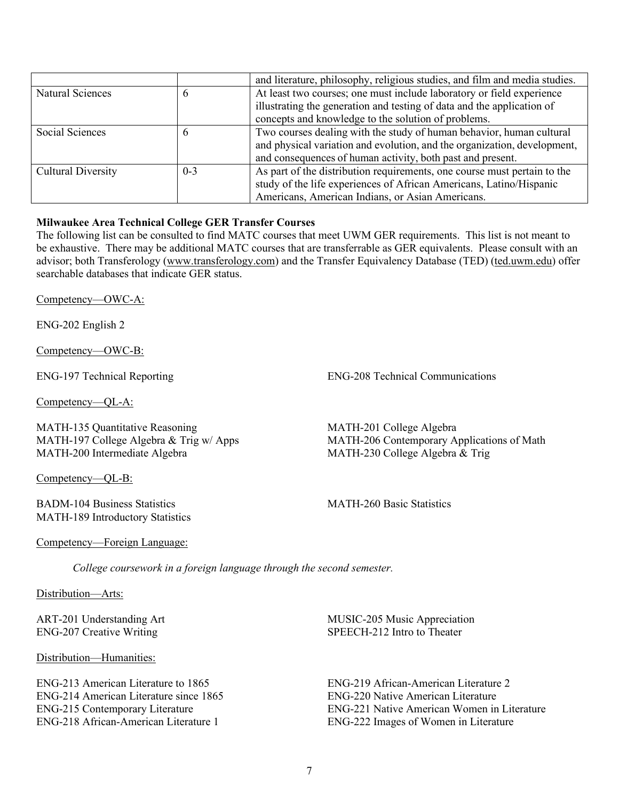|                           |         | and literature, philosophy, religious studies, and film and media studies. |
|---------------------------|---------|----------------------------------------------------------------------------|
| Natural Sciences          |         | At least two courses; one must include laboratory or field experience      |
|                           |         | illustrating the generation and testing of data and the application of     |
|                           |         | concepts and knowledge to the solution of problems.                        |
| Social Sciences           |         | Two courses dealing with the study of human behavior, human cultural       |
|                           |         | and physical variation and evolution, and the organization, development,   |
|                           |         | and consequences of human activity, both past and present.                 |
| <b>Cultural Diversity</b> | $0 - 3$ | As part of the distribution requirements, one course must pertain to the   |
|                           |         | study of the life experiences of African Americans, Latino/Hispanic        |
|                           |         | Americans, American Indians, or Asian Americans.                           |

## **Milwaukee Area Technical College GER Transfer Courses**

The following list can be consulted to find MATC courses that meet UWM GER requirements. This list is not meant to be exhaustive. There may be additional MATC courses that are transferrable as GER equivalents. Please consult with an advisor; both Transferology (www.transferology.com) and the Transfer Equivalency Database (TED) (ted.uwm.edu) offer searchable databases that indicate GER status.

Competency—OWC-A:

ENG-202 English 2

Competency—OWC-B:

Competency—QL-A:

MATH-135 Quantitative Reasoning MATH-197 College Algebra & Trig w/ Apps MATH-200 Intermediate Algebra

Competency—QL-B:

BADM-104 Business Statistics MATH-189 Introductory Statistics

ENG-197 Technical Reporting ENG-208 Technical Communications

MATH-201 College Algebra MATH-206 Contemporary Applications of Math MATH-230 College Algebra & Trig

MATH-260 Basic Statistics

#### Competency—Foreign Language:

*College coursework in a foreign language through the second semester.*

Distribution—Arts:

ART-201 Understanding Art ENG-207 Creative Writing

Distribution—Humanities:

ENG-213 American Literature to 1865 ENG-214 American Literature since 1865 ENG-215 Contemporary Literature ENG-218 African-American Literature 1

MUSIC-205 Music Appreciation SPEECH-212 Intro to Theater

ENG-219 African-American Literature 2 ENG-220 Native American Literature ENG-221 Native American Women in Literature ENG-222 Images of Women in Literature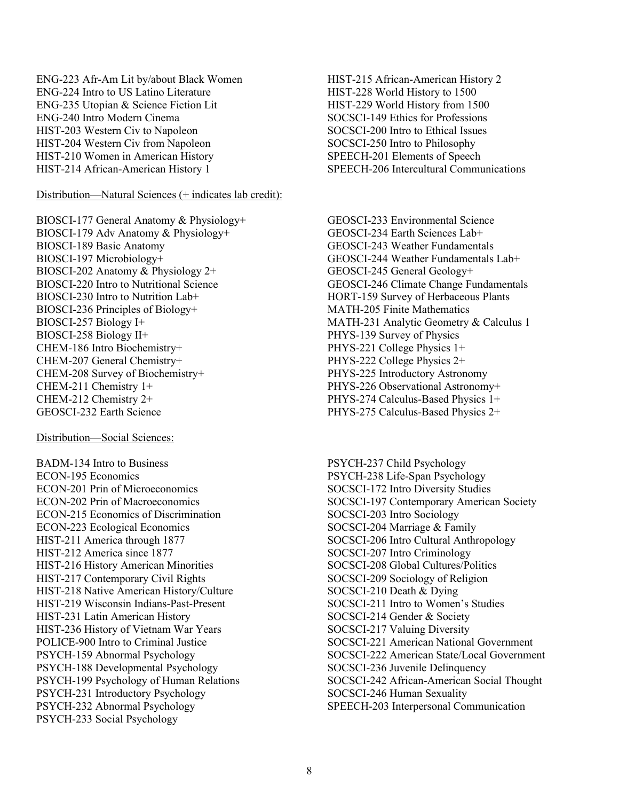ENG-223 Afr-Am Lit by/about Black Women ENG-224 Intro to US Latino Literature ENG-235 Utopian & Science Fiction Lit ENG-240 Intro Modern Cinema HIST-203 Western Civ to Napoleon HIST-204 Western Civ from Napoleon HIST-210 Women in American History HIST-214 African-American History 1

### Distribution—Natural Sciences (+ indicates lab credit):

BIOSCI-177 General Anatomy & Physiology+ BIOSCI-179 Adv Anatomy & Physiology+ BIOSCI-189 Basic Anatomy BIOSCI-197 Microbiology+ BIOSCI-202 Anatomy & Physiology 2+ BIOSCI-220 Intro to Nutritional Science BIOSCI-230 Intro to Nutrition Lab+ BIOSCI-236 Principles of Biology+ BIOSCI-257 Biology I+ BIOSCI-258 Biology II+ CHEM-186 Intro Biochemistry+ CHEM-207 General Chemistry+ CHEM-208 Survey of Biochemistry+ CHEM-211 Chemistry 1+ CHEM-212 Chemistry 2+ GEOSCI-232 Earth Science

#### Distribution—Social Sciences:

BADM-134 Intro to Business ECON-195 Economics ECON-201 Prin of Microeconomics ECON-202 Prin of Macroeconomics ECON-215 Economics of Discrimination ECON-223 Ecological Economics HIST-211 America through 1877 HIST-212 America since 1877 HIST-216 History American Minorities HIST-217 Contemporary Civil Rights HIST-218 Native American History/Culture HIST-219 Wisconsin Indians-Past-Present HIST-231 Latin American History HIST-236 History of Vietnam War Years POLICE-900 Intro to Criminal Justice PSYCH-159 Abnormal Psychology PSYCH-188 Developmental Psychology PSYCH-199 Psychology of Human Relations PSYCH-231 Introductory Psychology PSYCH-232 Abnormal Psychology PSYCH-233 Social Psychology

HIST-215 African-American History 2 HIST-228 World History to 1500 HIST-229 World History from 1500 SOCSCI-149 Ethics for Professions SOCSCI-200 Intro to Ethical Issues SOCSCI-250 Intro to Philosophy SPEECH-201 Elements of Speech SPEECH-206 Intercultural Communications

GEOSCI-233 Environmental Science GEOSCI-234 Earth Sciences Lab+ GEOSCI-243 Weather Fundamentals GEOSCI-244 Weather Fundamentals Lab+ GEOSCI-245 General Geology+ GEOSCI-246 Climate Change Fundamentals HORT-159 Survey of Herbaceous Plants MATH-205 Finite Mathematics MATH-231 Analytic Geometry & Calculus 1 PHYS-139 Survey of Physics PHYS-221 College Physics 1+ PHYS-222 College Physics 2+ PHYS-225 Introductory Astronomy PHYS-226 Observational Astronomy+ PHYS-274 Calculus-Based Physics 1+ PHYS-275 Calculus-Based Physics 2+

PSYCH-237 Child Psychology PSYCH-238 Life-Span Psychology SOCSCI-172 Intro Diversity Studies SOCSCI-197 Contemporary American Society SOCSCI-203 Intro Sociology SOCSCI-204 Marriage & Family SOCSCI-206 Intro Cultural Anthropology SOCSCI-207 Intro Criminology SOCSCI-208 Global Cultures/Politics SOCSCI-209 Sociology of Religion SOCSCI-210 Death & Dying SOCSCI-211 Intro to Women's Studies SOCSCI-214 Gender & Society SOCSCI-217 Valuing Diversity SOCSCI-221 American National Government SOCSCI-222 American State/Local Government SOCSCI-236 Juvenile Delinquency SOCSCI-242 African-American Social Thought SOCSCI-246 Human Sexuality SPEECH-203 Interpersonal Communication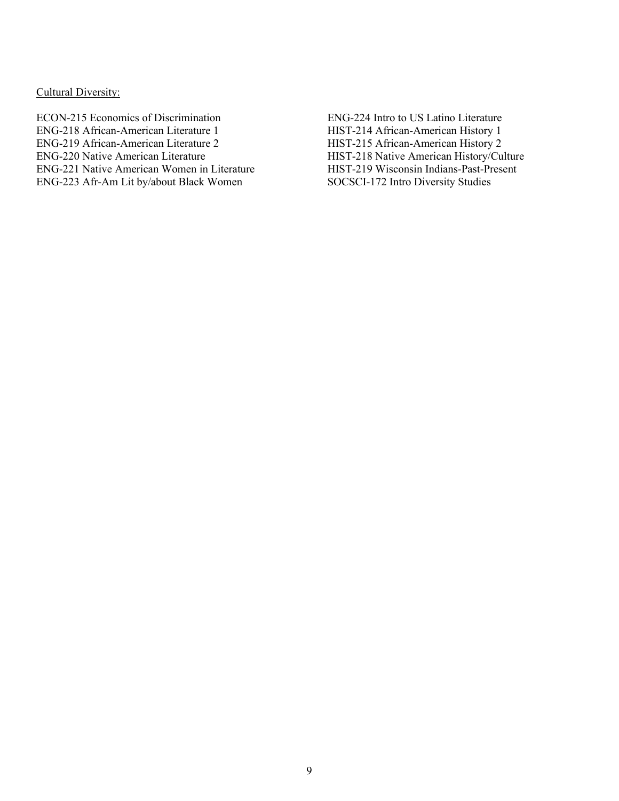### Cultural Diversity:

ECON-215 Economics of Discrimination ENG-218 African-American Literature 1 ENG-219 African-American Literature 2 ENG-220 Native American Literature ENG-221 Native American Women in Literature ENG-223 Afr-Am Lit by/about Black Women

ENG-224 Intro to US Latino Literature HIST-214 African-American History 1 HIST-215 African-American History 2 HIST-218 Native American History/Culture HIST-219 Wisconsin Indians-Past-Present SOCSCI-172 Intro Diversity Studies